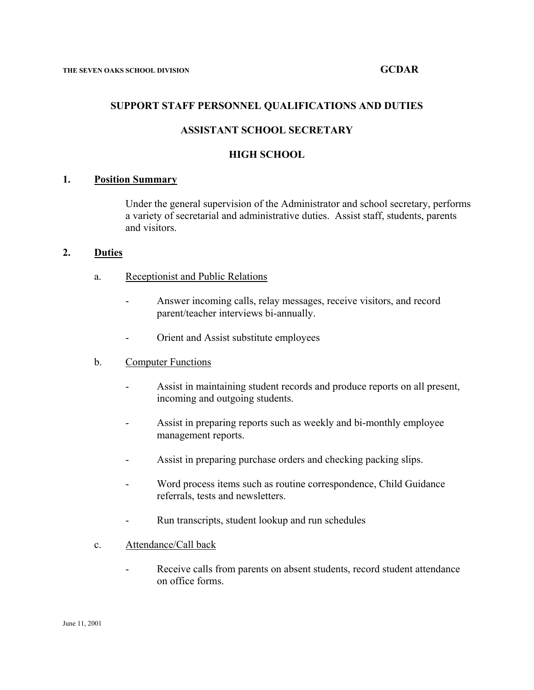## **SUPPORT STAFF PERSONNEL QUALIFICATIONS AND DUTIES**

# **ASSISTANT SCHOOL SECRETARY**

## **HIGH SCHOOL**

## **1. Position Summary**

Under the general supervision of the Administrator and school secretary, performs a variety of secretarial and administrative duties. Assist staff, students, parents and visitors.

## **2. Duties**

- a. Receptionist and Public Relations
	- Answer incoming calls, relay messages, receive visitors, and record parent/teacher interviews bi-annually.
	- Orient and Assist substitute employees

## b. Computer Functions

- Assist in maintaining student records and produce reports on all present, incoming and outgoing students.
- Assist in preparing reports such as weekly and bi-monthly employee management reports.
- Assist in preparing purchase orders and checking packing slips.
- Word process items such as routine correspondence, Child Guidance referrals, tests and newsletters.
- Run transcripts, student lookup and run schedules
- c. Attendance/Call back
	- Receive calls from parents on absent students, record student attendance on office forms.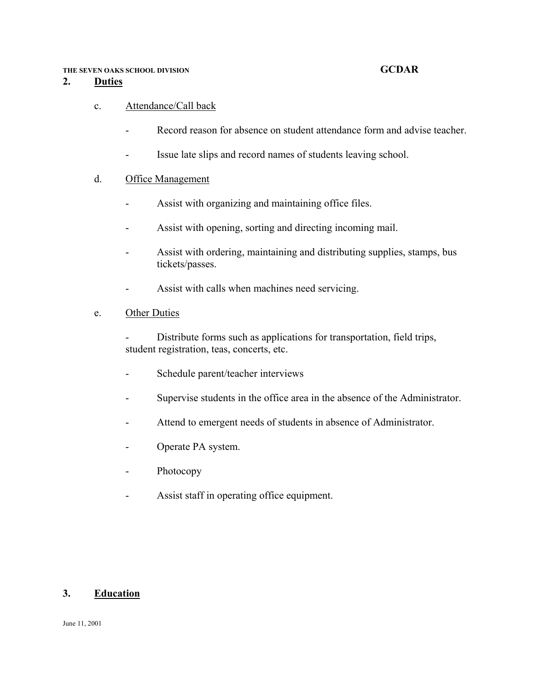### **THE SEVEN OAKS SCHOOL DIVISION GCDAR**

## **2. Duties**

# c. Attendance/Call back

- Record reason for absence on student attendance form and advise teacher.
- Issue late slips and record names of students leaving school.

# d. Office Management

- Assist with organizing and maintaining office files.
- Assist with opening, sorting and directing incoming mail.
- Assist with ordering, maintaining and distributing supplies, stamps, bus tickets/passes.
- Assist with calls when machines need servicing.

# e. Other Duties

 - Distribute forms such as applications for transportation, field trips, student registration, teas, concerts, etc.

- Schedule parent/teacher interviews
- Supervise students in the office area in the absence of the Administrator.
- Attend to emergent needs of students in absence of Administrator.
- Operate PA system.
- Photocopy
- Assist staff in operating office equipment.

# **3. Education**

June 11, 2001